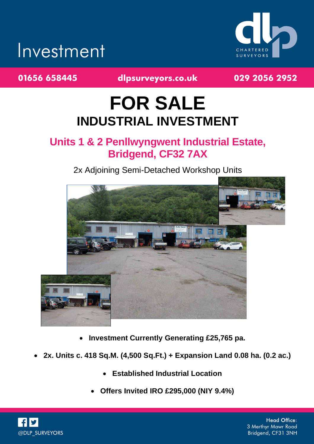# Investment



01656 658445

dlpsurveyors.co.uk

029 2056 2952

## **FOR SALE INDUSTRIAL INVESTMENT**

## **Units 1 & 2 Penllwyngwent Industrial Estate, Bridgend, CF32 7AX**

### 2x Adjoining Semi-Detached Workshop Units



- **Investment Currently Generating £25,765 pa.**
- **2x. Units c. 418 Sq.M. (4,500 Sq.Ft.) + Expansion Land 0.08 ha. (0.2 ac.)**
	- **Established Industrial Location**
	- **Offers Invited IRO £295,000 (NIY 9.4%)**



**Head Office:** 3 Merthyr Mawr Road Bridgend, CF31 3NH